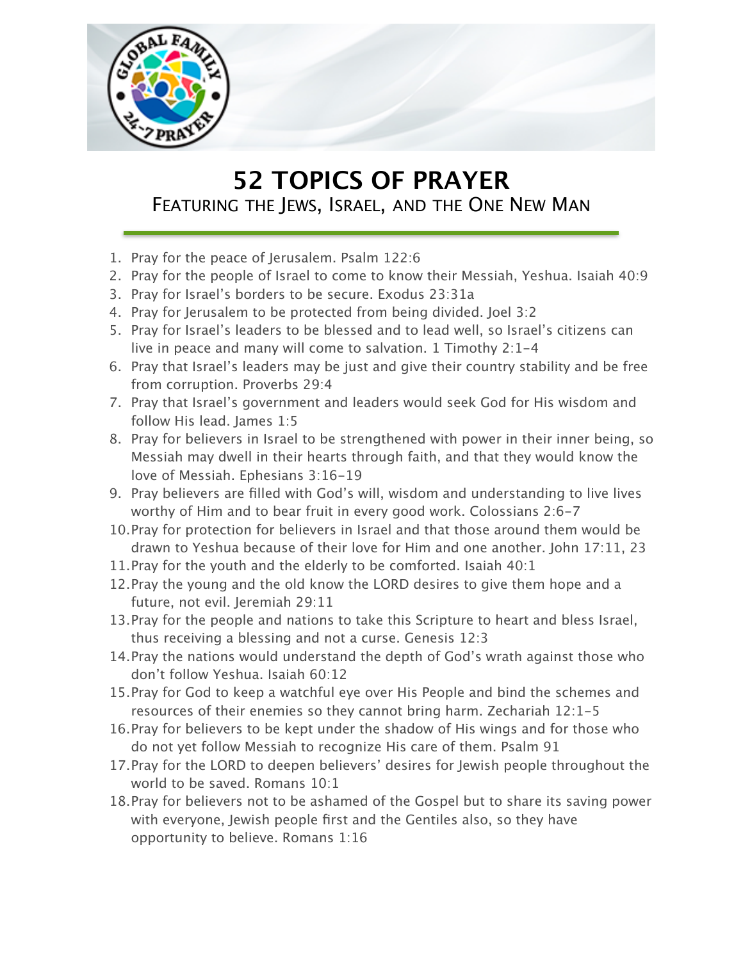

## **52 TOPICS OF PRAYER** FEATURING THE JEWS, ISRAEL, AND THE ONE NEW MAN

- 1. Pray for the peace of Jerusalem. Psalm 122:6
- 2. Pray for the people of Israel to come to know their Messiah, Yeshua. Isaiah 40:9
- 3. Pray for Israel's borders to be secure. Exodus 23:31a
- 4. Pray for Jerusalem to be protected from being divided. Joel 3:2
- 5. Pray for Israel's leaders to be blessed and to lead well, so Israel's citizens can live in peace and many will come to salvation. 1 Timothy 2:1-4
- 6. Pray that Israel's leaders may be just and give their country stability and be free from corruption. Proverbs 29:4
- 7. Pray that Israel's government and leaders would seek God for His wisdom and follow His lead. James 1:5
- 8. Pray for believers in Israel to be strengthened with power in their inner being, so Messiah may dwell in their hearts through faith, and that they would know the love of Messiah. Ephesians 3:16-19
- 9. Pray believers are filled with God's will, wisdom and understanding to live lives worthy of Him and to bear fruit in every good work. Colossians 2:6-7
- 10.Pray for protection for believers in Israel and that those around them would be drawn to Yeshua because of their love for Him and one another. John 17:11, 23
- 11.Pray for the youth and the elderly to be comforted. Isaiah 40:1
- 12.Pray the young and the old know the LORD desires to give them hope and a future, not evil. Jeremiah 29:11
- 13.Pray for the people and nations to take this Scripture to heart and bless Israel, thus receiving a blessing and not a curse. Genesis 12:3
- 14.Pray the nations would understand the depth of God's wrath against those who don't follow Yeshua. Isaiah 60:12
- 15.Pray for God to keep a watchful eye over His People and bind the schemes and resources of their enemies so they cannot bring harm. Zechariah 12:1-5
- 16.Pray for believers to be kept under the shadow of His wings and for those who do not yet follow Messiah to recognize His care of them. Psalm 91
- 17.Pray for the LORD to deepen believers' desires for Jewish people throughout the world to be saved. Romans 10:1
- 18.Pray for believers not to be ashamed of the Gospel but to share its saving power with everyone, Jewish people first and the Gentiles also, so they have opportunity to believe. Romans 1:16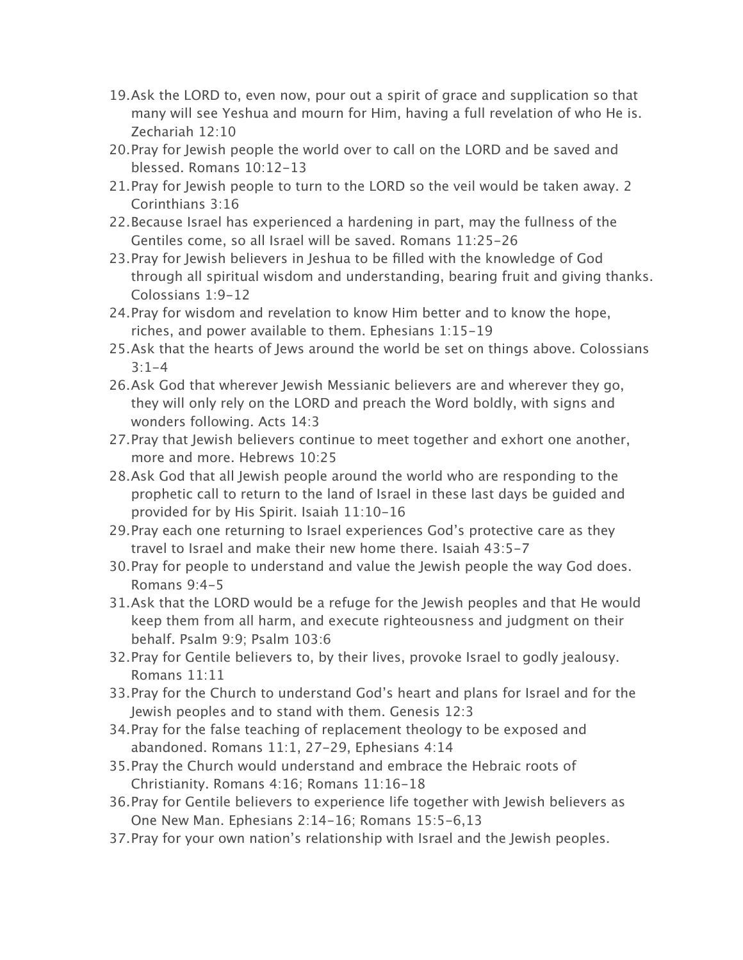- 19.Ask the LORD to, even now, pour out a spirit of grace and supplication so that many will see Yeshua and mourn for Him, having a full revelation of who He is. Zechariah 12:10
- 20.Pray for Jewish people the world over to call on the LORD and be saved and blessed. Romans 10:12-13
- 21.Pray for Jewish people to turn to the LORD so the veil would be taken away. 2 Corinthians 3:16
- 22.Because Israel has experienced a hardening in part, may the fullness of the Gentiles come, so all Israel will be saved. Romans 11:25-26
- 23.Pray for Jewish believers in Jeshua to be filled with the knowledge of God through all spiritual wisdom and understanding, bearing fruit and giving thanks. Colossians 1:9-12
- 24.Pray for wisdom and revelation to know Him better and to know the hope, riches, and power available to them. Ephesians 1:15-19
- 25.Ask that the hearts of Jews around the world be set on things above. Colossians  $3:1-4$
- 26.Ask God that wherever Jewish Messianic believers are and wherever they go, they will only rely on the LORD and preach the Word boldly, with signs and wonders following. Acts 14:3
- 27.Pray that Jewish believers continue to meet together and exhort one another, more and more. Hebrews 10:25
- 28.Ask God that all Jewish people around the world who are responding to the prophetic call to return to the land of Israel in these last days be guided and provided for by His Spirit. Isaiah 11:10-16
- 29.Pray each one returning to Israel experiences God's protective care as they travel to Israel and make their new home there. Isaiah 43:5-7
- 30.Pray for people to understand and value the Jewish people the way God does. Romans 9:4-5
- 31.Ask that the LORD would be a refuge for the Jewish peoples and that He would keep them from all harm, and execute righteousness and judgment on their behalf. Psalm 9:9; Psalm 103:6
- 32.Pray for Gentile believers to, by their lives, provoke Israel to godly jealousy. Romans 11:11
- 33.Pray for the Church to understand God's heart and plans for Israel and for the Jewish peoples and to stand with them. Genesis 12:3
- 34.Pray for the false teaching of replacement theology to be exposed and abandoned. Romans 11:1, 27-29, Ephesians 4:14
- 35.Pray the Church would understand and embrace the Hebraic roots of Christianity. Romans 4:16; Romans 11:16-18
- 36.Pray for Gentile believers to experience life together with Jewish believers as One New Man. Ephesians 2:14-16; Romans 15:5-6,13
- 37.Pray for your own nation's relationship with Israel and the Jewish peoples.